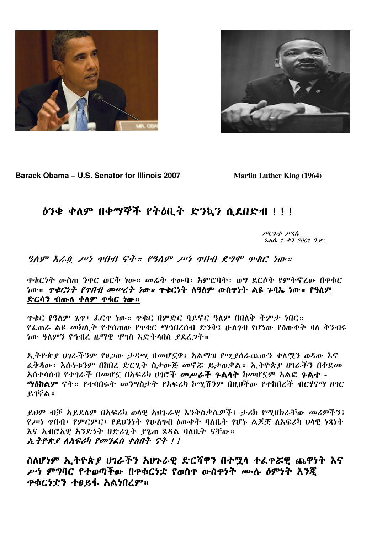



Barack Obama - U.S. Senator for Illinois 2007

**Martin Luther King (1964)** 

## ዕንቁ ቀለም በቀማኞች የትዕቢት ድንኳን ሲደበድብ !!!

ሥርጉተ ሥሳሴ  $140$ ,  $142$ ,  $2001$ ,  $9.9$ °.

ዋቁርነት ውስጠ ንዋር ወርቅ ነው። መሬት ተውባ፤ አምሮባት፤ ወግ ደርሶት የምትኖረው በዋቁር ነው። *ዋቁርነት የዋበብ መሥረት ነው።* ዋቁርነት ለዓለም ውስዋነት ልዩ ንባኤ ነው። የዓለም ድርሳን ብጡለ ቀለም ዋቁር ነው።

ዋቁር የዓለም ጌዋ፤ ፌርዋ ነው። ዋቁር በምድር ባይኖር ዓለም በበለቅ ትምታ ነበር። *የፌ*ጠራ ልዩ መክሊት የተሰጠው የዋቁር ማኅበረሰብ ድንቅ፤ ሁለንብ የሆነው የዕውቀት ዛለ ቅንብሩ ነው ዓለምን የኅብረ ዜማዊ ሞገስ እድትላበስ ያደረጋት።

ኢትዮጵያ ሀገራችንም የፀጋው ታዳሚ በመሆኗዋ፤ አልማዝ የሚያሰራጨውን ቀለሟን ወዳው እና ፌቅዳው፤ እሱነቱንም በከበረ ድርጊት ስታውጅ መኖሯ ይታወቃል። ኢትዮጵያ ሀገራችን በቀደመ አስተሳሰብ የተገራች በመሆኗ በአፍሪካ ሀገሮች መሥራች ጉልሳት ከመሆኗም አልፎ ጉልተ -ማዕከልም ናት። የተባበሩት መንግስታት የአፍሪካ ኮሚሽንም በዚህችው የተከበረች ብርሃናማ ሀገር ይገኛል።

ይህም ብቻ አይደለም በአፍሪካ ወሳዊ አህጉራዊ እንቅስቃሴዎች፤ ታሪክ የሚዘክራቸው መሪዎችን፤ የሥነ ዋበብ፤ የምርምር፤ የደሀንነት የሁለገብ ዕውቀት ባለቤት የሆኑ ልጆቿ ለአፍሪካ ሀሳዊ ነጻነት እና አብሮአዊ አንድነት በድሪጊት ደጌጠ ጸዳል ባለቤት ናቸው። አ.ትዮጵያ ለአፍሪካ የመንፈስ ቀለበት ናት !!

ስለሆነም ኢትዮጵያ ሀገራችን አህጉራዊ ድርሻዋን በተሟላ ተፌዋሯዊ ጨዋነት እና ሥነ ምግባር የተወጣችው በዋቁርነቷ የወስዋ ውስዋነት ሙሉ ዕምነት እንጂ **ጥቁርነቷን ተፀይፋ አልነበረም።**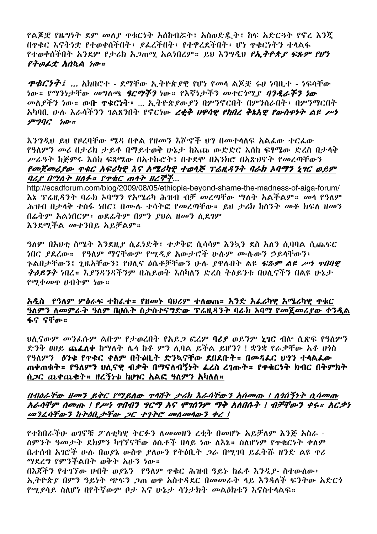የልጆቿ የዜግነት ደም መለያ ዋቁርነት አሰከብሯት፤ አስወድዴት፤ ከፍ አድርጓት የኖረ እንጂ በዋቁር እናትነቷ የተወቀሰችበት፤ ያፈረችበት፤ የተዋረደችበት፤ ሆነ ዋቁርነትን ተሳልፋ የተወቀሰችበት አንደም የታሪክ አ*ጋ*ጠሚ አልነበረም። ይህ እንግዲህ *የኢትዮጵያ ፍጹም የሆነ*  $P \rightarrow B \rightarrow A$ 

 $\mathcal{P}\mathcal{A} \mathcal{C} \mathcal{D} \mathcal{D}$   $\vdots$  . And  $\mathcal{C}$  + - ደማቸው ኢትዮጵያዊ የሆነ የመሳ ልጆቿ ሩሀ ነባቢተ - ነፍሳቸው ነው። የማንነታቸው መግለጫ *ዓርማችን* ነው። የእኛነታችን መተር*ነ*ሚ*ያ ባንዲራችን ነው* መለያችን ነው። ውቡ ዋቁርነት፤ ... ኢትዮጵያውያን በምንኖርበት በምንሰራበት፤ በምንማርበት አካባቢ ሁለ እራሳችንን ገልጸንበት የኖርነው *ረቂቅ ህዋሳዊ የከበረ ቅኔአዊ የውስዋነት ልዩ ሥነ*  $*op*$  $\mathcal{C}$  $*h*$  $*v*$ 

እንግዲህ ይህ የዞረባቸው ሜዳ በቀል የዘመን እሾኆች ህግ በመተላለፍ አልፌው ተርፌው የዓለምን መሪ በታሪክ ታይቶ በማይተወቅ ሁኔታ ከእጩ ውድድር እስከ ፍፃሜው ድረስ በታላቅ ሥራዓት ከጅምሩ እሰከ ፍጻሜው በአተኩሮት፤ በተደሞ በአንክሮ በአጽህኖት የመረጣቸውን የመጀመሪያው ዋቁር አፍሪካዊ እና አሜሪካዊ ተወላጅ ፕሬዚዳንት ባራክ ኦባማን ኒገር ወይም ባሪያ በማለት ዘለፉ። የዋቁር ጠሳት ዘረኞች...

http://ecadforum.com/blog/2009/08/05/ethiopia-beyond-shame-the-madness-of-aiga-forum/ <u>እኔ ፕሬዚዳንት ባራክ ኦባማን የአሜሪካ ሕዝብ ብቻ መረጣቸው ማለት አልችልም። መሳ የዓለም</u> ሕዝብ በታላቅ ተስፋ ነበር፤ በሙሉ ተሳትፎ የመረጣቸው። ይህ ታሪክ ከስንት መቶ ክፍለ ዘመን በፊትም አልነበርም፤ ወደፊትም በምን ያህል ዘመን ሲደገም እንደሚችል መተንበይ አይቻልም።

*ዓ*ለም በአሁቲ ስሜት እንደዚ*ያ* ሲፌነድቅ፤ ተቃቅፎ ሲሳሳም እንኳን ደስ አለን ሲባባል ሲጨፍር ነበር ያደረው። የዓለም ማናቸውም የሚዲያ አውታሮች ሁሉም ሙሉውን ኃይላቸውን፤ ጉልበታቸውን፤ ጊዜአቸውን፤ የሀሊና ዕሴቶቻቸውን ሁሉ ያዋሉበት ልዩ *ፍጹም ልዩ ሥነ ተበባዊ ትዕይንት ነ*በረ። እ*ያንዳንዳችንም* በሕይወት እስካለን ድረስ ትዕይንቱ በህሊናችን በልዩ ሁኔታ የሚቀመጥ ሁበትም ነው።

## አዲስ የዓለም ምዕራፍ ተከፌተ። የዘመኑ ባሀሪም ተለወጠ። አንድ አፌሪካዊ አሜሪካዊ ዋቁር ዓለምን ለመምራት ዓለም በሀሴት ስታስተናግድው ፕሬዚዳንት ባራክ ኦባማ የመጀመሪያው ቀንዲል ፋና ናቸው።

ህሲናውም መንፌሱም ልቡም የታወረበት የአይጋ ፎረም ባሪያ ወይንም ኒገር ብሎ ሲጽፍ የዓለምን ድንቅ ፀሀይ ጨፌለቀ ከማለት ሌላ ከቶ ምን ሊባል ይችል ይሆን? ! ቋንቋ የራቃቸው አቶ ሆነስ የዓለምን ዕንቁ የጥቁር ቀለም በትዕቢት ድንኳናቸው ደበደቡት። በመዳፌር ህግን ተሳልፌው ጠቀጠቁት። የዓለምን ሀሊናዊ ብቃት በማናለብኝነት ፌረስ ረገጡት። የዋቁርነት ክብር በትምክት ሰ,2ር ጨቀጨቁት። ዘረኝነቱ ከሀገር አልፎ ዓለምን አካለለ።

## በብዕራቸው ዘመን ይቅር የማይለው ዋሳሽት ታሪክ እራሳቸውን አሰመጡ ! ለነሰኝነት ሲሳመጡ አራሳቸም ሰመጡ ! የሥነ ዋበብን ግርማ አና ሞገሰንም ማቅ አለበሱት ! ብቻቸውን ቀሩ። አርቃነ መንፈሳቸውን ከትዕቢታቸው ጋር ተገትሮ መስመሳውን ቀረ!

የተከበራችሁ ወገኖቹ ፖለቲካዊ ትርፉን ለመመዘን ረቂቅ በመሆኑ አይቻለም እንጅ አስራ -ስምንት ዓመታት ደክምን ካገኘናቸው ዕሴቶች በላይ ነው ለእኔ። ስለሆነም የዋቁርነት ቀለም ቤተሰብ አገሮች ሁሉ በወያኔ ውስዋ ያለውን የትዕቢት ጋራ በሚገባ ይፌትሹ ዘንድ ልዩ ዋሪ ማደረግ የምንችልበት ወቅት አሁን ነው።

በእጃችን የተገኘው ሀብት ወደኔን የዓለም ዋቁር ሕዝብ ዓይኑ ከፌቶ እንዲያ- ስተውለው፤ ኢትዮጵያ በምን ዓይነት ጭፍን ጋጠ ወዋ አስተዳደር በመመራት ላይ እንዳለች ፍንትው አድርጎ የሚያሳይ ስለሆነ በየትኛውም ቦታ እና ሁኔታ ሳንታክት መልዕክቱን እናስተሳልፍ።